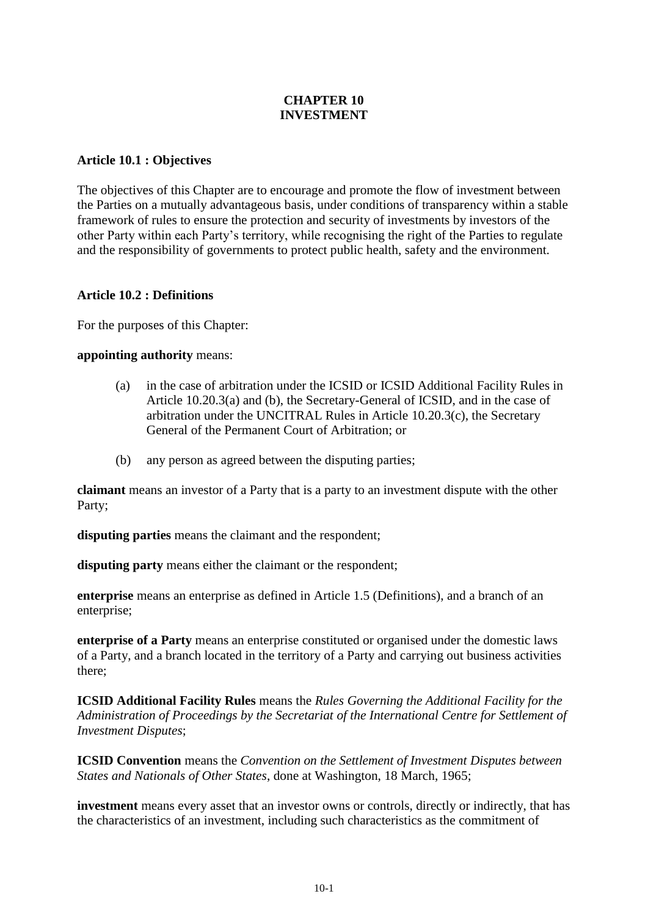## **CHAPTER 10 INVESTMENT**

#### **Article 10.1 : Objectives**

The objectives of this Chapter are to encourage and promote the flow of investment between the Parties on a mutually advantageous basis, under conditions of transparency within a stable framework of rules to ensure the protection and security of investments by investors of the other Party within each Party's territory, while recognising the right of the Parties to regulate and the responsibility of governments to protect public health, safety and the environment.

### **Article 10.2 : Definitions**

For the purposes of this Chapter:

### **appointing authority** means:

- (a) in the case of arbitration under the ICSID or ICSID Additional Facility Rules in Article 10.20.3(a) and (b), the Secretary-General of ICSID, and in the case of arbitration under the UNCITRAL Rules in Article 10.20.3(c), the Secretary General of the Permanent Court of Arbitration; or
- (b) any person as agreed between the disputing parties;

**claimant** means an investor of a Party that is a party to an investment dispute with the other Party;

**disputing parties** means the claimant and the respondent;

**disputing party** means either the claimant or the respondent;

**enterprise** means an enterprise as defined in Article 1.5 (Definitions), and a branch of an enterprise;

**enterprise of a Party** means an enterprise constituted or organised under the domestic laws of a Party, and a branch located in the territory of a Party and carrying out business activities there;

**ICSID Additional Facility Rules** means the *Rules Governing the Additional Facility for the Administration of Proceedings by the Secretariat of the International Centre for Settlement of Investment Disputes*;

**ICSID Convention** means the *Convention on the Settlement of Investment Disputes between States and Nationals of Other States*, done at Washington, 18 March, 1965;

**investment** means every asset that an investor owns or controls, directly or indirectly, that has the characteristics of an investment, including such characteristics as the commitment of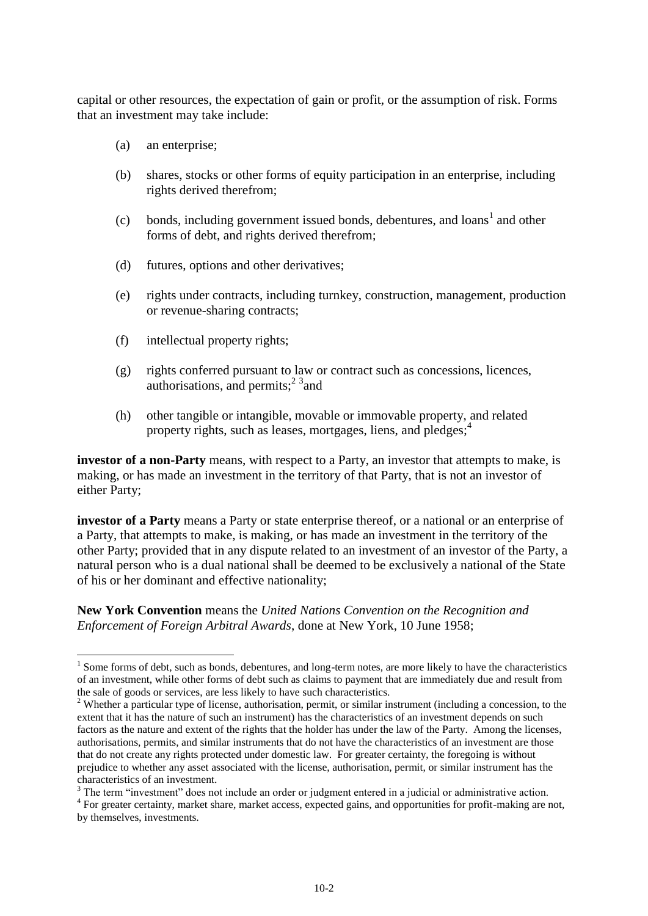capital or other resources, the expectation of gain or profit, or the assumption of risk. Forms that an investment may take include:

- (a) an enterprise;
- (b) shares, stocks or other forms of equity participation in an enterprise, including rights derived therefrom;
- (c) bonds, including government issued bonds, debentures, and loans<sup>1</sup> and other forms of debt, and rights derived therefrom;
- (d) futures, options and other derivatives;
- (e) rights under contracts, including turnkey, construction, management, production or revenue-sharing contracts;
- (f) intellectual property rights;

 $\overline{a}$ 

- (g) rights conferred pursuant to law or contract such as concessions, licences, authorisations, and permits; $^{2}$  3 and
- (h) other tangible or intangible, movable or immovable property, and related property rights, such as leases, mortgages, liens, and pledges;<sup>4</sup>

**investor of a non-Party** means, with respect to a Party, an investor that attempts to make, is making, or has made an investment in the territory of that Party, that is not an investor of either Party;

**investor of a Party** means a Party or state enterprise thereof, or a national or an enterprise of a Party, that attempts to make, is making, or has made an investment in the territory of the other Party; provided that in any dispute related to an investment of an investor of the Party, a natural person who is a dual national shall be deemed to be exclusively a national of the State of his or her dominant and effective nationality;

**New York Convention** means the *United Nations Convention on the Recognition and Enforcement of Foreign Arbitral Awards*, done at New York, 10 June 1958;

 $1$  Some forms of debt, such as bonds, debentures, and long-term notes, are more likely to have the characteristics of an investment, while other forms of debt such as claims to payment that are immediately due and result from the sale of goods or services, are less likely to have such characteristics.

<sup>&</sup>lt;sup>2</sup> Whether a particular type of license, authorisation, permit, or similar instrument (including a concession, to the extent that it has the nature of such an instrument) has the characteristics of an investment depends on such factors as the nature and extent of the rights that the holder has under the law of the Party. Among the licenses, authorisations, permits, and similar instruments that do not have the characteristics of an investment are those that do not create any rights protected under domestic law. For greater certainty, the foregoing is without prejudice to whether any asset associated with the license, authorisation, permit, or similar instrument has the characteristics of an investment.

<sup>&</sup>lt;sup>3</sup> The term "investment" does not include an order or judgment entered in a judicial or administrative action.

<sup>&</sup>lt;sup>4</sup> For greater certainty, market share, market access, expected gains, and opportunities for profit-making are not, by themselves, investments.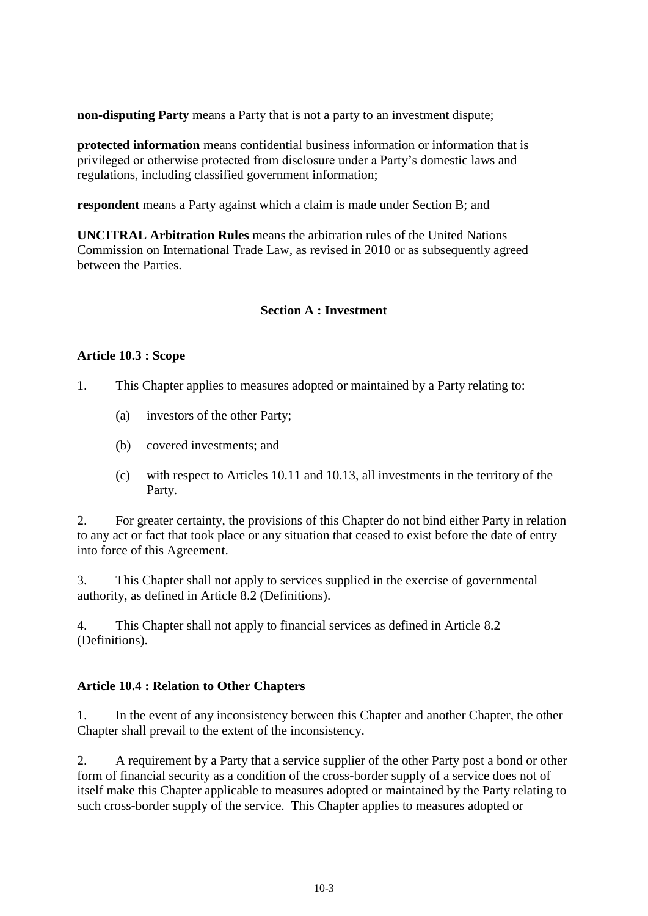**non-disputing Party** means a Party that is not a party to an investment dispute;

**protected information** means confidential business information or information that is privileged or otherwise protected from disclosure under a Party's domestic laws and regulations, including classified government information;

**respondent** means a Party against which a claim is made under Section B; and

**UNCITRAL Arbitration Rules** means the arbitration rules of the United Nations Commission on International Trade Law, as revised in 2010 or as subsequently agreed between the Parties.

### **Section A : Investment**

### **Article 10.3 : Scope**

- 1. This Chapter applies to measures adopted or maintained by a Party relating to:
	- (a) investors of the other Party;
	- (b) covered investments; and
	- (c) with respect to Articles 10.11 and 10.13, all investments in the territory of the Party.

2. For greater certainty, the provisions of this Chapter do not bind either Party in relation to any act or fact that took place or any situation that ceased to exist before the date of entry into force of this Agreement.

3. This Chapter shall not apply to services supplied in the exercise of governmental authority, as defined in Article 8.2 (Definitions).

4. This Chapter shall not apply to financial services as defined in Article 8.2 (Definitions).

#### **Article 10.4 : Relation to Other Chapters**

1. In the event of any inconsistency between this Chapter and another Chapter, the other Chapter shall prevail to the extent of the inconsistency.

2. A requirement by a Party that a service supplier of the other Party post a bond or other form of financial security as a condition of the cross-border supply of a service does not of itself make this Chapter applicable to measures adopted or maintained by the Party relating to such cross-border supply of the service. This Chapter applies to measures adopted or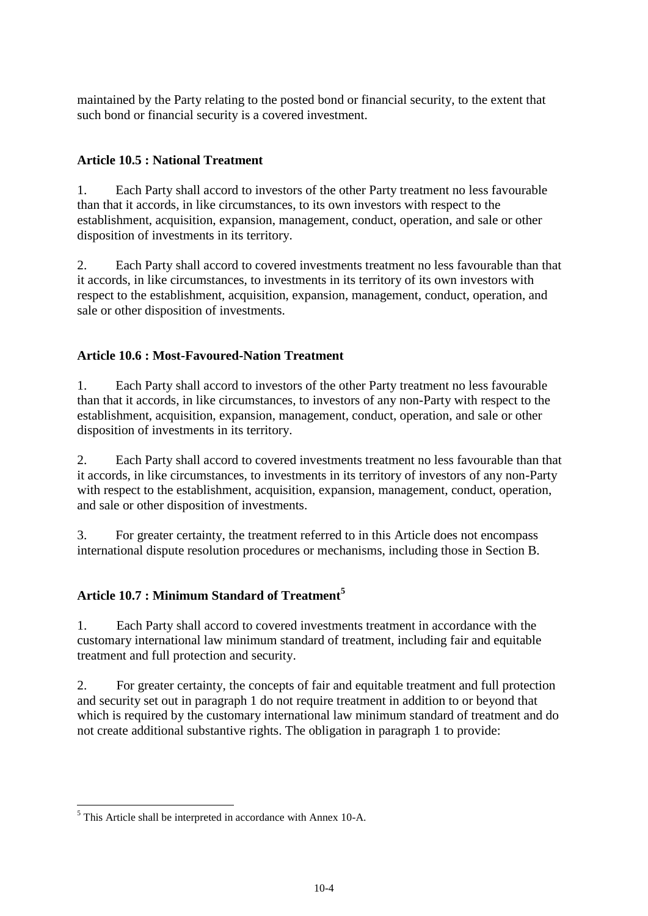maintained by the Party relating to the posted bond or financial security, to the extent that such bond or financial security is a covered investment.

## **Article 10.5 : National Treatment**

1. Each Party shall accord to investors of the other Party treatment no less favourable than that it accords, in like circumstances, to its own investors with respect to the establishment, acquisition, expansion, management, conduct, operation, and sale or other disposition of investments in its territory.

2. Each Party shall accord to covered investments treatment no less favourable than that it accords, in like circumstances, to investments in its territory of its own investors with respect to the establishment, acquisition, expansion, management, conduct, operation, and sale or other disposition of investments.

## **Article 10.6 : Most-Favoured-Nation Treatment**

1. Each Party shall accord to investors of the other Party treatment no less favourable than that it accords, in like circumstances, to investors of any non-Party with respect to the establishment, acquisition, expansion, management, conduct, operation, and sale or other disposition of investments in its territory.

2. Each Party shall accord to covered investments treatment no less favourable than that it accords, in like circumstances, to investments in its territory of investors of any non-Party with respect to the establishment, acquisition, expansion, management, conduct, operation, and sale or other disposition of investments.

3. For greater certainty, the treatment referred to in this Article does not encompass international dispute resolution procedures or mechanisms, including those in Section B.

# **Article 10.7 : Minimum Standard of Treatment<sup>5</sup>**

1. Each Party shall accord to covered investments treatment in accordance with the customary international law minimum standard of treatment, including fair and equitable treatment and full protection and security.

2. For greater certainty, the concepts of fair and equitable treatment and full protection and security set out in paragraph 1 do not require treatment in addition to or beyond that which is required by the customary international law minimum standard of treatment and do not create additional substantive rights. The obligation in paragraph 1 to provide:

 $\overline{a}$  $<sup>5</sup>$  This Article shall be interpreted in accordance with Annex 10-A.</sup>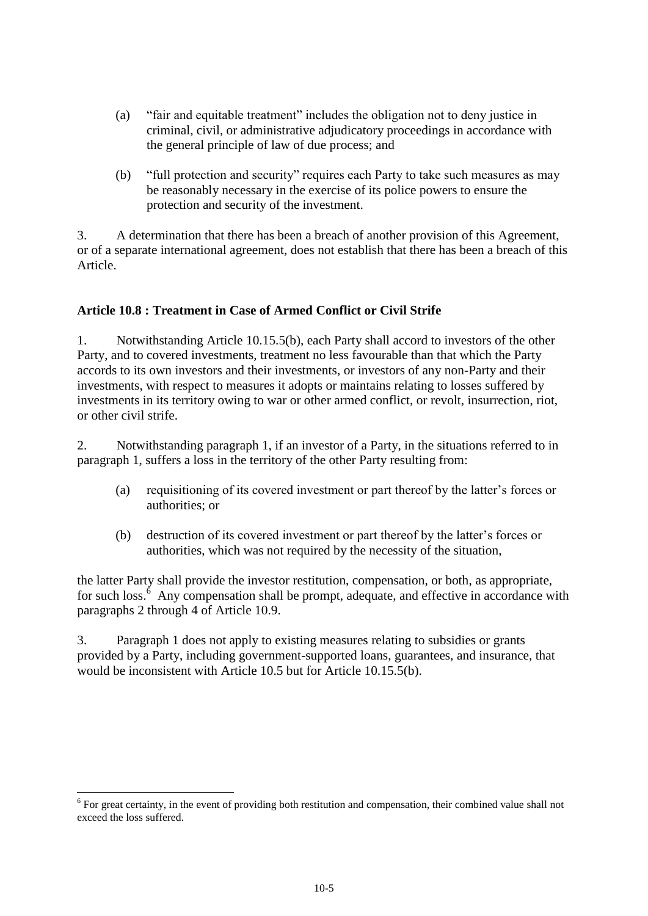- (a) "fair and equitable treatment" includes the obligation not to deny justice in criminal, civil, or administrative adjudicatory proceedings in accordance with the general principle of law of due process; and
- (b) "full protection and security" requires each Party to take such measures as may be reasonably necessary in the exercise of its police powers to ensure the protection and security of the investment.

3. A determination that there has been a breach of another provision of this Agreement, or of a separate international agreement, does not establish that there has been a breach of this Article.

## **Article 10.8 : Treatment in Case of Armed Conflict or Civil Strife**

1. Notwithstanding Article 10.15.5(b), each Party shall accord to investors of the other Party, and to covered investments, treatment no less favourable than that which the Party accords to its own investors and their investments, or investors of any non-Party and their investments, with respect to measures it adopts or maintains relating to losses suffered by investments in its territory owing to war or other armed conflict, or revolt, insurrection, riot, or other civil strife.

2. Notwithstanding paragraph 1, if an investor of a Party, in the situations referred to in paragraph 1, suffers a loss in the territory of the other Party resulting from:

- (a) requisitioning of its covered investment or part thereof by the latter's forces or authorities; or
- (b) destruction of its covered investment or part thereof by the latter's forces or authorities, which was not required by the necessity of the situation,

the latter Party shall provide the investor restitution, compensation, or both, as appropriate, for such loss.<sup> $\dot{6}$ </sup> Any compensation shall be prompt, adequate, and effective in accordance with paragraphs 2 through 4 of Article 10.9.

3. Paragraph 1 does not apply to existing measures relating to subsidies or grants provided by a Party, including government-supported loans, guarantees, and insurance, that would be inconsistent with Article 10.5 but for Article 10.15.5(b).

 $\overline{a}$ 

<sup>&</sup>lt;sup>6</sup> For great certainty, in the event of providing both restitution and compensation, their combined value shall not exceed the loss suffered.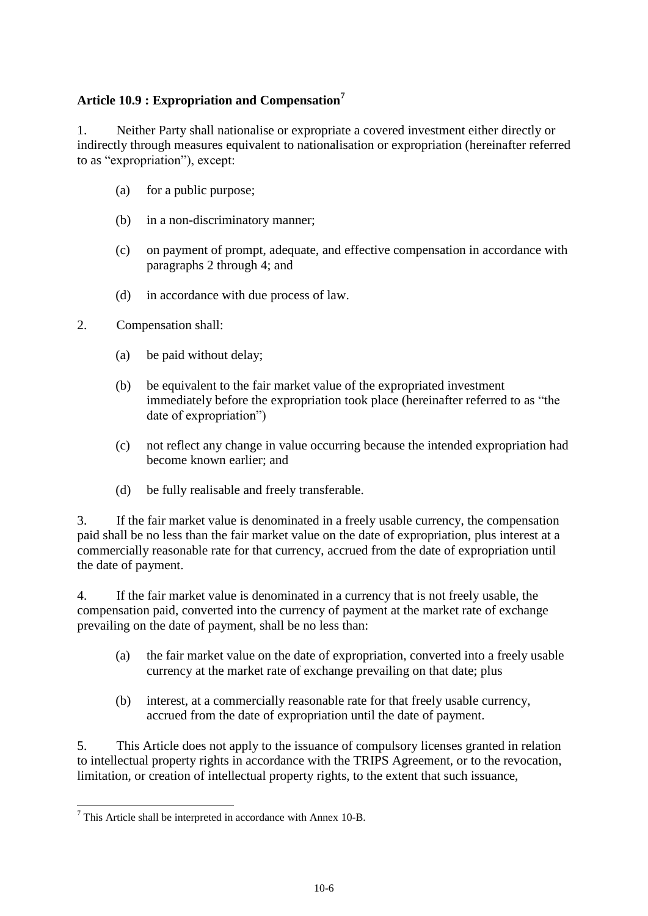# **Article 10.9 : Expropriation and Compensation<sup>7</sup>**

1. Neither Party shall nationalise or expropriate a covered investment either directly or indirectly through measures equivalent to nationalisation or expropriation (hereinafter referred to as "expropriation"), except:

- (a) for a public purpose;
- (b) in a non-discriminatory manner;
- (c) on payment of prompt, adequate, and effective compensation in accordance with paragraphs 2 through 4; and
- (d) in accordance with due process of law.
- 2. Compensation shall:
	- (a) be paid without delay;
	- (b) be equivalent to the fair market value of the expropriated investment immediately before the expropriation took place (hereinafter referred to as "the date of expropriation")
	- (c) not reflect any change in value occurring because the intended expropriation had become known earlier; and
	- (d) be fully realisable and freely transferable.

3. If the fair market value is denominated in a freely usable currency, the compensation paid shall be no less than the fair market value on the date of expropriation, plus interest at a commercially reasonable rate for that currency, accrued from the date of expropriation until the date of payment.

4. If the fair market value is denominated in a currency that is not freely usable, the compensation paid, converted into the currency of payment at the market rate of exchange prevailing on the date of payment, shall be no less than:

- (a) the fair market value on the date of expropriation, converted into a freely usable currency at the market rate of exchange prevailing on that date; plus
- (b) interest, at a commercially reasonable rate for that freely usable currency, accrued from the date of expropriation until the date of payment.

5. This Article does not apply to the issuance of compulsory licenses granted in relation to intellectual property rights in accordance with the TRIPS Agreement, or to the revocation, limitation, or creation of intellectual property rights, to the extent that such issuance,

 $\overline{a}$  $7$  This Article shall be interpreted in accordance with Annex 10-B.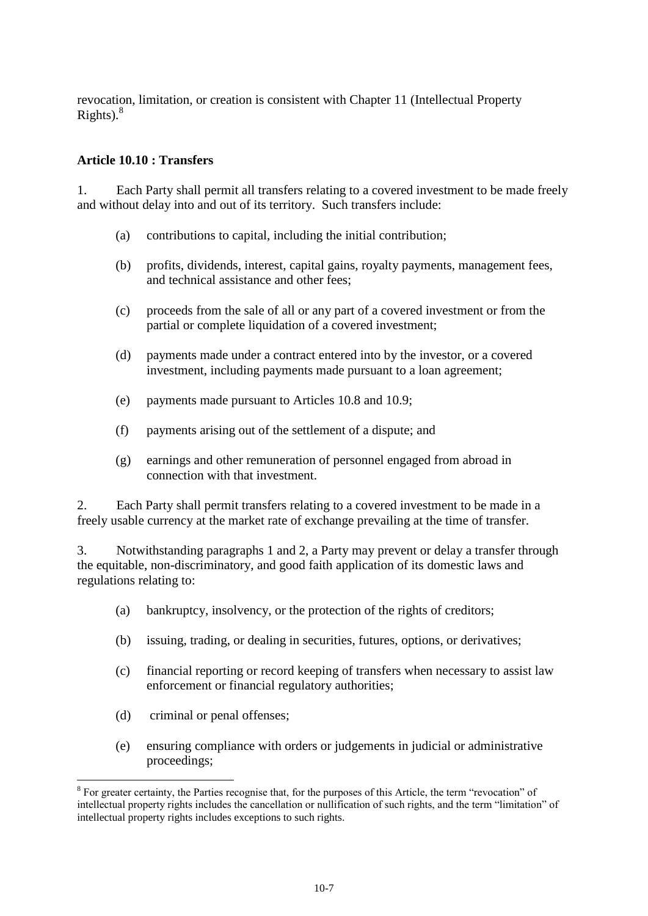revocation, limitation, or creation is consistent with Chapter 11 (Intellectual Property  $RightS$ ).<sup>8</sup>

### **Article 10.10 : Transfers**

1. Each Party shall permit all transfers relating to a covered investment to be made freely and without delay into and out of its territory. Such transfers include:

- (a) contributions to capital, including the initial contribution;
- (b) profits, dividends, interest, capital gains, royalty payments, management fees, and technical assistance and other fees;
- (c) proceeds from the sale of all or any part of a covered investment or from the partial or complete liquidation of a covered investment;
- (d) payments made under a contract entered into by the investor, or a covered investment, including payments made pursuant to a loan agreement;
- (e) payments made pursuant to Articles 10.8 and 10.9;
- (f) payments arising out of the settlement of a dispute; and
- (g) earnings and other remuneration of personnel engaged from abroad in connection with that investment.

2. Each Party shall permit transfers relating to a covered investment to be made in a freely usable currency at the market rate of exchange prevailing at the time of transfer.

3. Notwithstanding paragraphs 1 and 2, a Party may prevent or delay a transfer through the equitable, non-discriminatory, and good faith application of its domestic laws and regulations relating to:

- (a) bankruptcy, insolvency, or the protection of the rights of creditors;
- (b) issuing, trading, or dealing in securities, futures, options, or derivatives;
- (c) financial reporting or record keeping of transfers when necessary to assist law enforcement or financial regulatory authorities;
- (d) criminal or penal offenses;

 $\overline{a}$ 

(e) ensuring compliance with orders or judgements in judicial or administrative proceedings;

<sup>&</sup>lt;sup>8</sup> For greater certainty, the Parties recognise that, for the purposes of this Article, the term "revocation" of intellectual property rights includes the cancellation or nullification of such rights, and the term "limitation" of intellectual property rights includes exceptions to such rights.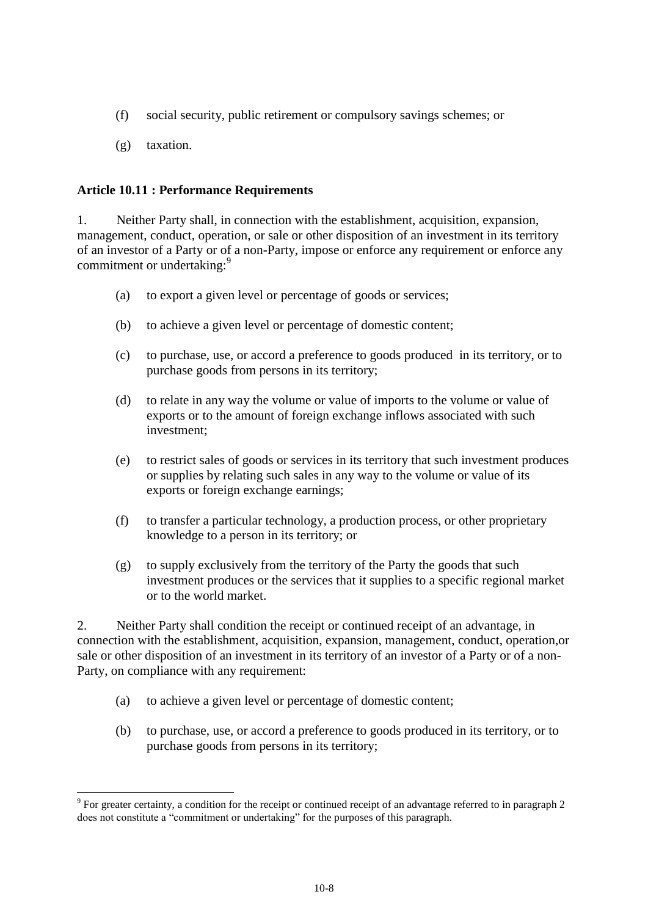- (f) social security, public retirement or compulsory savings schemes; or
- (g) taxation.

 $\overline{a}$ 

#### **Article 10.11 : Performance Requirements**

1. Neither Party shall, in connection with the establishment, acquisition, expansion, management, conduct, operation, or sale or other disposition of an investment in its territory of an investor of a Party or of a non-Party, impose or enforce any requirement or enforce any commitment or undertaking:<sup>9</sup>

- (a) to export a given level or percentage of goods or services;
- (b) to achieve a given level or percentage of domestic content;
- (c) to purchase, use, or accord a preference to goods produced in its territory, or to purchase goods from persons in its territory;
- (d) to relate in any way the volume or value of imports to the volume or value of exports or to the amount of foreign exchange inflows associated with such investment;
- (e) to restrict sales of goods or services in its territory that such investment produces or supplies by relating such sales in any way to the volume or value of its exports or foreign exchange earnings;
- (f) to transfer a particular technology, a production process, or other proprietary knowledge to a person in its territory; or
- (g) to supply exclusively from the territory of the Party the goods that such investment produces or the services that it supplies to a specific regional market or to the world market.

2. Neither Party shall condition the receipt or continued receipt of an advantage, in connection with the establishment, acquisition, expansion, management, conduct, operation,or sale or other disposition of an investment in its territory of an investor of a Party or of a non-Party, on compliance with any requirement:

- (a) to achieve a given level or percentage of domestic content;
- (b) to purchase, use, or accord a preference to goods produced in its territory, or to purchase goods from persons in its territory;

 $9^9$  For greater certainty, a condition for the receipt or continued receipt of an advantage referred to in paragraph 2 does not constitute a "commitment or undertaking" for the purposes of this paragraph.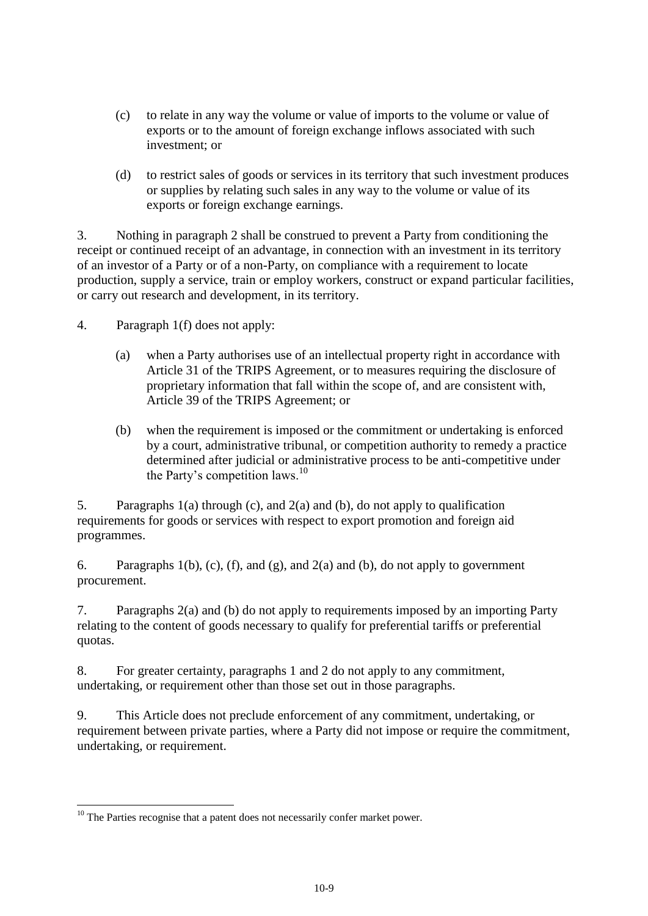- (c) to relate in any way the volume or value of imports to the volume or value of exports or to the amount of foreign exchange inflows associated with such investment; or
- (d) to restrict sales of goods or services in its territory that such investment produces or supplies by relating such sales in any way to the volume or value of its exports or foreign exchange earnings.

3. Nothing in paragraph 2 shall be construed to prevent a Party from conditioning the receipt or continued receipt of an advantage, in connection with an investment in its territory of an investor of a Party or of a non-Party, on compliance with a requirement to locate production, supply a service, train or employ workers, construct or expand particular facilities, or carry out research and development, in its territory.

4. Paragraph 1(f) does not apply:

- (a) when a Party authorises use of an intellectual property right in accordance with Article 31 of the TRIPS Agreement, or to measures requiring the disclosure of proprietary information that fall within the scope of, and are consistent with, Article 39 of the TRIPS Agreement; or
- (b) when the requirement is imposed or the commitment or undertaking is enforced by a court, administrative tribunal, or competition authority to remedy a practice determined after judicial or administrative process to be anti-competitive under the Party's competition laws.<sup>10</sup>

5. Paragraphs 1(a) through (c), and 2(a) and (b), do not apply to qualification requirements for goods or services with respect to export promotion and foreign aid programmes.

6. Paragraphs 1(b), (c), (f), and (g), and 2(a) and (b), do not apply to government procurement.

7. Paragraphs 2(a) and (b) do not apply to requirements imposed by an importing Party relating to the content of goods necessary to qualify for preferential tariffs or preferential quotas.

8. For greater certainty, paragraphs 1 and 2 do not apply to any commitment, undertaking, or requirement other than those set out in those paragraphs.

9. This Article does not preclude enforcement of any commitment, undertaking, or requirement between private parties, where a Party did not impose or require the commitment, undertaking, or requirement.

 $\overline{a}$  $10$  The Parties recognise that a patent does not necessarily confer market power.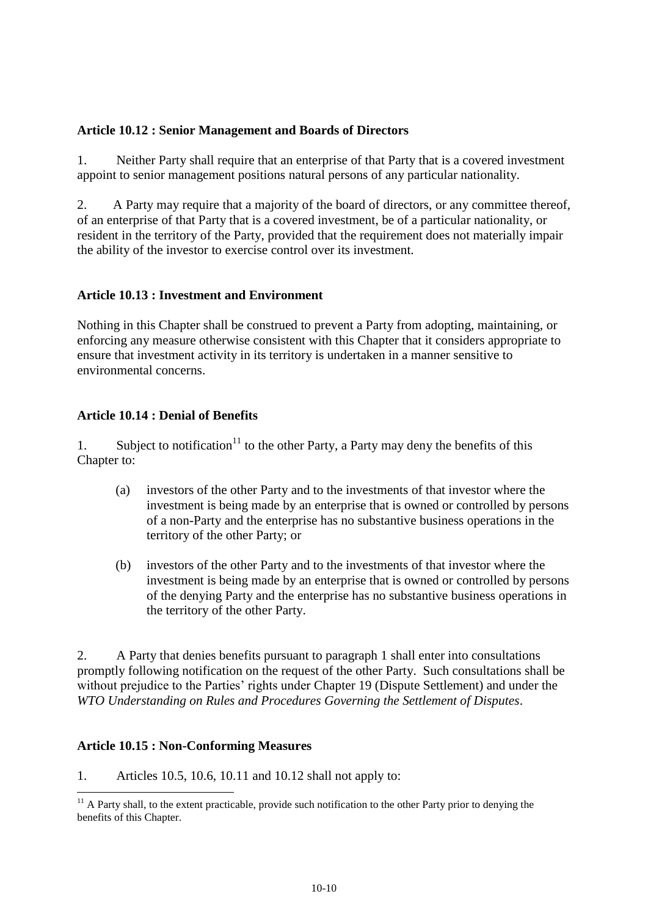### **Article 10.12 : Senior Management and Boards of Directors**

1. Neither Party shall require that an enterprise of that Party that is a covered investment appoint to senior management positions natural persons of any particular nationality.

2. A Party may require that a majority of the board of directors, or any committee thereof, of an enterprise of that Party that is a covered investment, be of a particular nationality, or resident in the territory of the Party, provided that the requirement does not materially impair the ability of the investor to exercise control over its investment.

### **Article 10.13 : Investment and Environment**

Nothing in this Chapter shall be construed to prevent a Party from adopting, maintaining, or enforcing any measure otherwise consistent with this Chapter that it considers appropriate to ensure that investment activity in its territory is undertaken in a manner sensitive to environmental concerns.

### **Article 10.14 : Denial of Benefits**

1. Subject to notification<sup>11</sup> to the other Party, a Party may deny the benefits of this Chapter to:

- (a) investors of the other Party and to the investments of that investor where the investment is being made by an enterprise that is owned or controlled by persons of a non-Party and the enterprise has no substantive business operations in the territory of the other Party; or
- (b) investors of the other Party and to the investments of that investor where the investment is being made by an enterprise that is owned or controlled by persons of the denying Party and the enterprise has no substantive business operations in the territory of the other Party.

2. A Party that denies benefits pursuant to paragraph 1 shall enter into consultations promptly following notification on the request of the other Party. Such consultations shall be without prejudice to the Parties' rights under Chapter 19 (Dispute Settlement) and under the *WTO Understanding on Rules and Procedures Governing the Settlement of Disputes*.

#### **Article 10.15 : Non-Conforming Measures**

 $\overline{a}$ 

1. Articles 10.5, 10.6, 10.11 and 10.12 shall not apply to:

 $11$  A Party shall, to the extent practicable, provide such notification to the other Party prior to denying the benefits of this Chapter.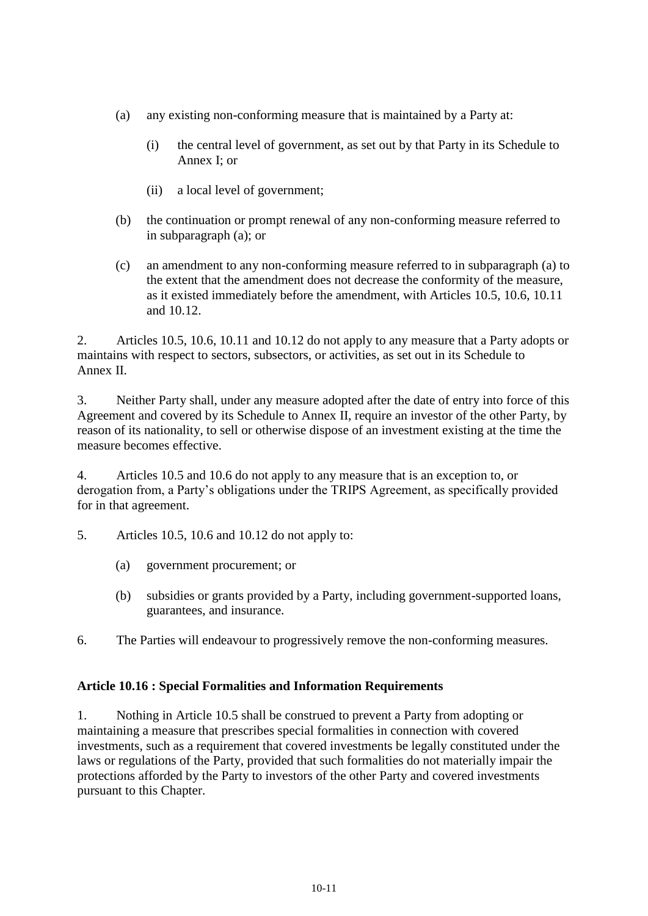- (a) any existing non-conforming measure that is maintained by a Party at:
	- (i) the central level of government, as set out by that Party in its Schedule to Annex I; or
	- (ii) a local level of government;
- (b) the continuation or prompt renewal of any non-conforming measure referred to in subparagraph (a); or
- (c) an amendment to any non-conforming measure referred to in subparagraph (a) to the extent that the amendment does not decrease the conformity of the measure, as it existed immediately before the amendment, with Articles 10.5, 10.6, 10.11 and 10.12.

2. Articles 10.5, 10.6, 10.11 and 10.12 do not apply to any measure that a Party adopts or maintains with respect to sectors, subsectors, or activities, as set out in its Schedule to Annex II.

3. Neither Party shall, under any measure adopted after the date of entry into force of this Agreement and covered by its Schedule to Annex II, require an investor of the other Party, by reason of its nationality, to sell or otherwise dispose of an investment existing at the time the measure becomes effective.

4. Articles 10.5 and 10.6 do not apply to any measure that is an exception to, or derogation from, a Party's obligations under the TRIPS Agreement, as specifically provided for in that agreement.

- 5. Articles 10.5, 10.6 and 10.12 do not apply to:
	- (a) government procurement; or
	- (b) subsidies or grants provided by a Party, including government-supported loans, guarantees, and insurance.
- 6. The Parties will endeavour to progressively remove the non-conforming measures.

#### **Article 10.16 : Special Formalities and Information Requirements**

1. Nothing in Article 10.5 shall be construed to prevent a Party from adopting or maintaining a measure that prescribes special formalities in connection with covered investments, such as a requirement that covered investments be legally constituted under the laws or regulations of the Party, provided that such formalities do not materially impair the protections afforded by the Party to investors of the other Party and covered investments pursuant to this Chapter.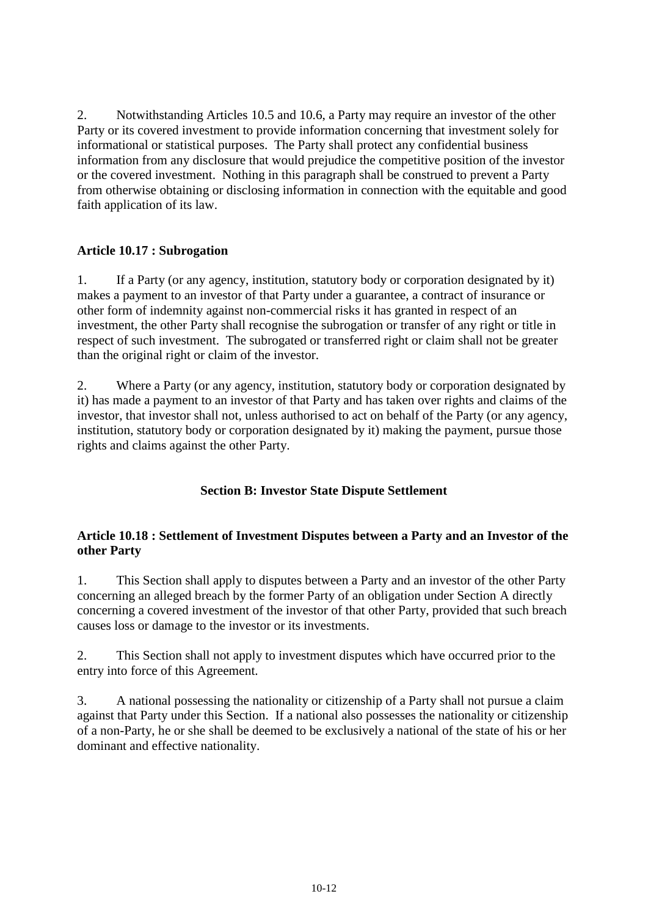2. Notwithstanding Articles 10.5 and 10.6, a Party may require an investor of the other Party or its covered investment to provide information concerning that investment solely for informational or statistical purposes. The Party shall protect any confidential business information from any disclosure that would prejudice the competitive position of the investor or the covered investment. Nothing in this paragraph shall be construed to prevent a Party from otherwise obtaining or disclosing information in connection with the equitable and good faith application of its law.

## **Article 10.17 : Subrogation**

1. If a Party (or any agency, institution, statutory body or corporation designated by it) makes a payment to an investor of that Party under a guarantee, a contract of insurance or other form of indemnity against non-commercial risks it has granted in respect of an investment, the other Party shall recognise the subrogation or transfer of any right or title in respect of such investment. The subrogated or transferred right or claim shall not be greater than the original right or claim of the investor.

2. Where a Party (or any agency, institution, statutory body or corporation designated by it) has made a payment to an investor of that Party and has taken over rights and claims of the investor, that investor shall not, unless authorised to act on behalf of the Party (or any agency, institution, statutory body or corporation designated by it) making the payment, pursue those rights and claims against the other Party.

# **Section B: Investor State Dispute Settlement**

### **Article 10.18 : Settlement of Investment Disputes between a Party and an Investor of the other Party**

1. This Section shall apply to disputes between a Party and an investor of the other Party concerning an alleged breach by the former Party of an obligation under Section A directly concerning a covered investment of the investor of that other Party, provided that such breach causes loss or damage to the investor or its investments.

2. This Section shall not apply to investment disputes which have occurred prior to the entry into force of this Agreement.

3. A national possessing the nationality or citizenship of a Party shall not pursue a claim against that Party under this Section. If a national also possesses the nationality or citizenship of a non-Party, he or she shall be deemed to be exclusively a national of the state of his or her dominant and effective nationality.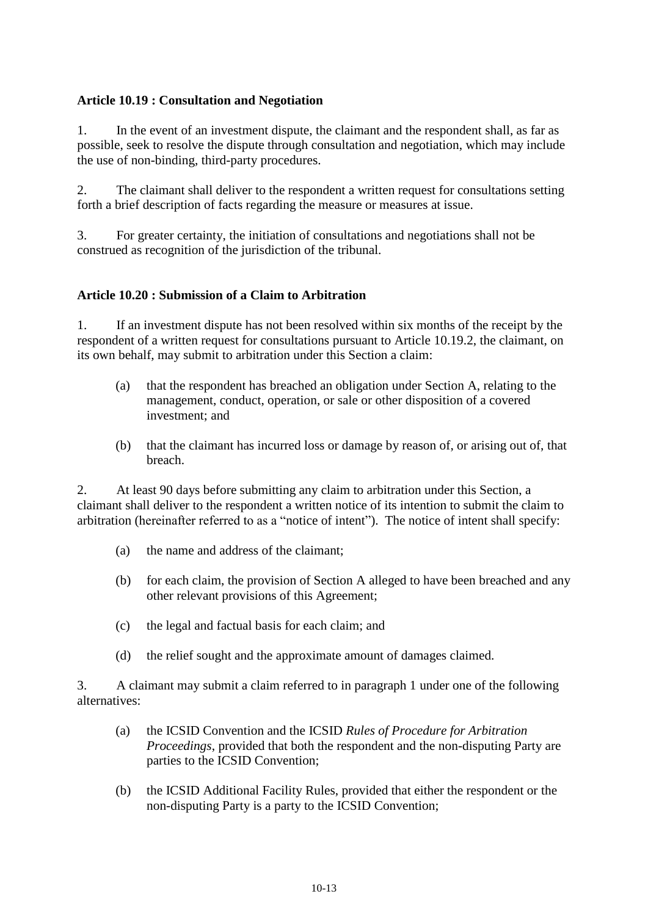## **Article 10.19 : Consultation and Negotiation**

1. In the event of an investment dispute, the claimant and the respondent shall, as far as possible, seek to resolve the dispute through consultation and negotiation, which may include the use of non-binding, third-party procedures.

2. The claimant shall deliver to the respondent a written request for consultations setting forth a brief description of facts regarding the measure or measures at issue.

3. For greater certainty, the initiation of consultations and negotiations shall not be construed as recognition of the jurisdiction of the tribunal.

## **Article 10.20 : Submission of a Claim to Arbitration**

1. If an investment dispute has not been resolved within six months of the receipt by the respondent of a written request for consultations pursuant to Article 10.19.2, the claimant, on its own behalf, may submit to arbitration under this Section a claim:

- (a) that the respondent has breached an obligation under Section A, relating to the management, conduct, operation, or sale or other disposition of a covered investment; and
- (b) that the claimant has incurred loss or damage by reason of, or arising out of, that breach.

2. At least 90 days before submitting any claim to arbitration under this Section, a claimant shall deliver to the respondent a written notice of its intention to submit the claim to arbitration (hereinafter referred to as a "notice of intent"). The notice of intent shall specify:

- (a) the name and address of the claimant;
- (b) for each claim, the provision of Section A alleged to have been breached and any other relevant provisions of this Agreement;
- (c) the legal and factual basis for each claim; and
- (d) the relief sought and the approximate amount of damages claimed.

3. A claimant may submit a claim referred to in paragraph 1 under one of the following alternatives:

- (a) the ICSID Convention and the ICSID *Rules of Procedure for Arbitration Proceedings*, provided that both the respondent and the non-disputing Party are parties to the ICSID Convention;
- (b) the ICSID Additional Facility Rules, provided that either the respondent or the non-disputing Party is a party to the ICSID Convention;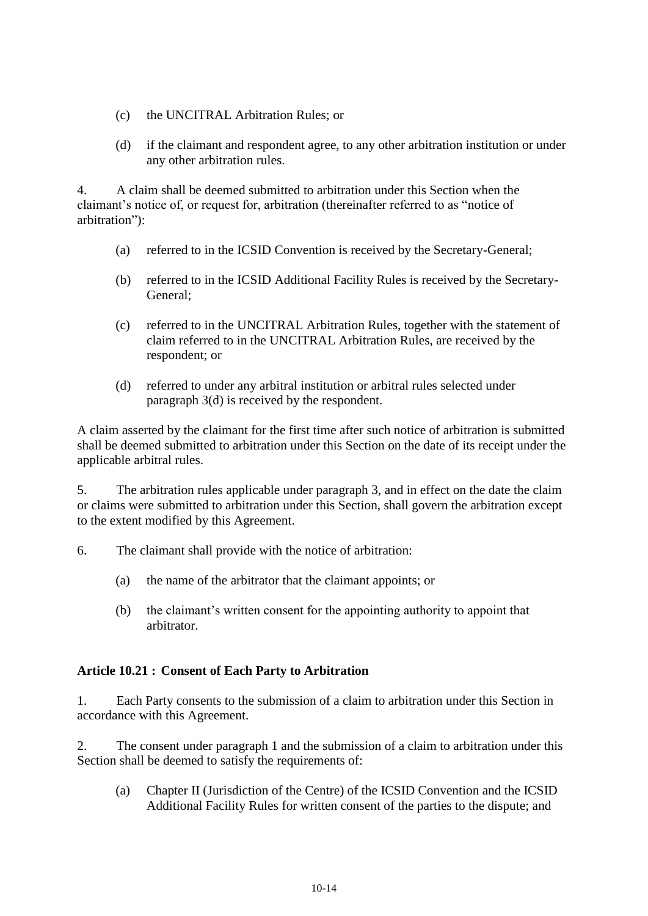- (c) the UNCITRAL Arbitration Rules; or
- (d) if the claimant and respondent agree, to any other arbitration institution or under any other arbitration rules.

4. A claim shall be deemed submitted to arbitration under this Section when the claimant's notice of, or request for, arbitration (thereinafter referred to as "notice of arbitration"):

- (a) referred to in the ICSID Convention is received by the Secretary-General;
- (b) referred to in the ICSID Additional Facility Rules is received by the Secretary-General;
- (c) referred to in the UNCITRAL Arbitration Rules, together with the statement of claim referred to in the UNCITRAL Arbitration Rules, are received by the respondent; or
- (d) referred to under any arbitral institution or arbitral rules selected under paragraph 3(d) is received by the respondent.

A claim asserted by the claimant for the first time after such notice of arbitration is submitted shall be deemed submitted to arbitration under this Section on the date of its receipt under the applicable arbitral rules.

5. The arbitration rules applicable under paragraph 3, and in effect on the date the claim or claims were submitted to arbitration under this Section, shall govern the arbitration except to the extent modified by this Agreement.

- 6. The claimant shall provide with the notice of arbitration:
	- (a) the name of the arbitrator that the claimant appoints; or
	- (b) the claimant's written consent for the appointing authority to appoint that arbitrator.

## **Article 10.21 : Consent of Each Party to Arbitration**

1. Each Party consents to the submission of a claim to arbitration under this Section in accordance with this Agreement.

2. The consent under paragraph 1 and the submission of a claim to arbitration under this Section shall be deemed to satisfy the requirements of:

(a) Chapter II (Jurisdiction of the Centre) of the ICSID Convention and the ICSID Additional Facility Rules for written consent of the parties to the dispute; and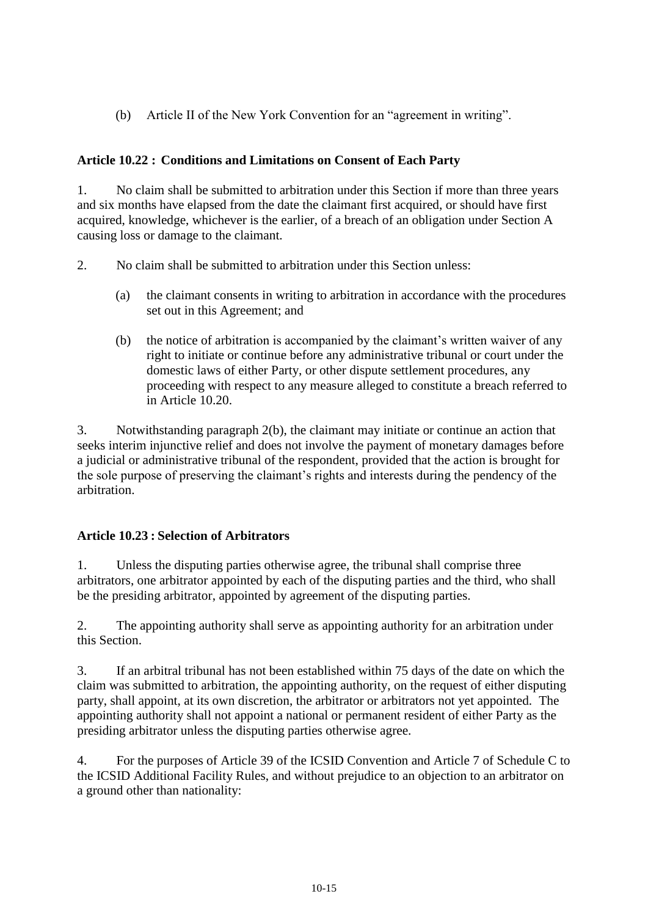(b) Article II of the New York Convention for an "agreement in writing".

## **Article 10.22 : Conditions and Limitations on Consent of Each Party**

1. No claim shall be submitted to arbitration under this Section if more than three years and six months have elapsed from the date the claimant first acquired, or should have first acquired, knowledge, whichever is the earlier, of a breach of an obligation under Section A causing loss or damage to the claimant.

- 2. No claim shall be submitted to arbitration under this Section unless:
	- (a) the claimant consents in writing to arbitration in accordance with the procedures set out in this Agreement; and
	- (b) the notice of arbitration is accompanied by the claimant's written waiver of any right to initiate or continue before any administrative tribunal or court under the domestic laws of either Party, or other dispute settlement procedures, any proceeding with respect to any measure alleged to constitute a breach referred to in Article 10.20.

3. Notwithstanding paragraph 2(b), the claimant may initiate or continue an action that seeks interim injunctive relief and does not involve the payment of monetary damages before a judicial or administrative tribunal of the respondent, provided that the action is brought for the sole purpose of preserving the claimant's rights and interests during the pendency of the arbitration.

## **Article 10.23 : Selection of Arbitrators**

1. Unless the disputing parties otherwise agree, the tribunal shall comprise three arbitrators, one arbitrator appointed by each of the disputing parties and the third, who shall be the presiding arbitrator, appointed by agreement of the disputing parties.

2. The appointing authority shall serve as appointing authority for an arbitration under this Section.

3. If an arbitral tribunal has not been established within 75 days of the date on which the claim was submitted to arbitration, the appointing authority, on the request of either disputing party, shall appoint, at its own discretion, the arbitrator or arbitrators not yet appointed. The appointing authority shall not appoint a national or permanent resident of either Party as the presiding arbitrator unless the disputing parties otherwise agree.

4. For the purposes of Article 39 of the ICSID Convention and Article 7 of Schedule C to the ICSID Additional Facility Rules, and without prejudice to an objection to an arbitrator on a ground other than nationality: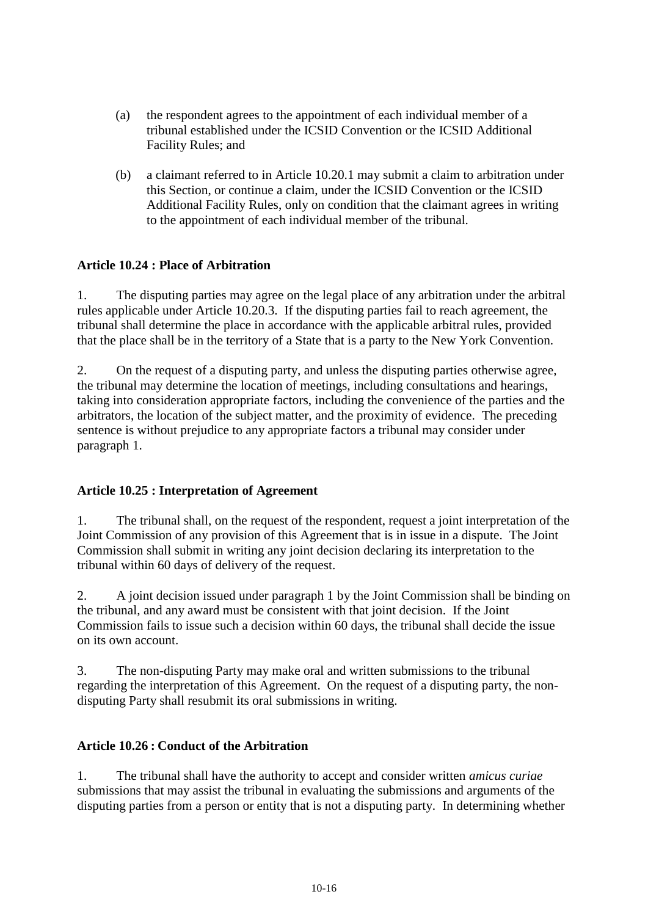- (a) the respondent agrees to the appointment of each individual member of a tribunal established under the ICSID Convention or the ICSID Additional Facility Rules; and
- (b) a claimant referred to in Article 10.20.1 may submit a claim to arbitration under this Section, or continue a claim, under the ICSID Convention or the ICSID Additional Facility Rules, only on condition that the claimant agrees in writing to the appointment of each individual member of the tribunal.

## **Article 10.24 : Place of Arbitration**

1. The disputing parties may agree on the legal place of any arbitration under the arbitral rules applicable under Article 10.20.3. If the disputing parties fail to reach agreement, the tribunal shall determine the place in accordance with the applicable arbitral rules, provided that the place shall be in the territory of a State that is a party to the New York Convention.

2. On the request of a disputing party, and unless the disputing parties otherwise agree, the tribunal may determine the location of meetings, including consultations and hearings, taking into consideration appropriate factors, including the convenience of the parties and the arbitrators, the location of the subject matter, and the proximity of evidence. The preceding sentence is without prejudice to any appropriate factors a tribunal may consider under paragraph 1.

## **Article 10.25 : Interpretation of Agreement**

1. The tribunal shall, on the request of the respondent, request a joint interpretation of the Joint Commission of any provision of this Agreement that is in issue in a dispute. The Joint Commission shall submit in writing any joint decision declaring its interpretation to the tribunal within 60 days of delivery of the request.

2. A joint decision issued under paragraph 1 by the Joint Commission shall be binding on the tribunal, and any award must be consistent with that joint decision. If the Joint Commission fails to issue such a decision within 60 days, the tribunal shall decide the issue on its own account.

3. The non-disputing Party may make oral and written submissions to the tribunal regarding the interpretation of this Agreement. On the request of a disputing party, the nondisputing Party shall resubmit its oral submissions in writing.

## **Article 10.26 : Conduct of the Arbitration**

1. The tribunal shall have the authority to accept and consider written *amicus curiae* submissions that may assist the tribunal in evaluating the submissions and arguments of the disputing parties from a person or entity that is not a disputing party. In determining whether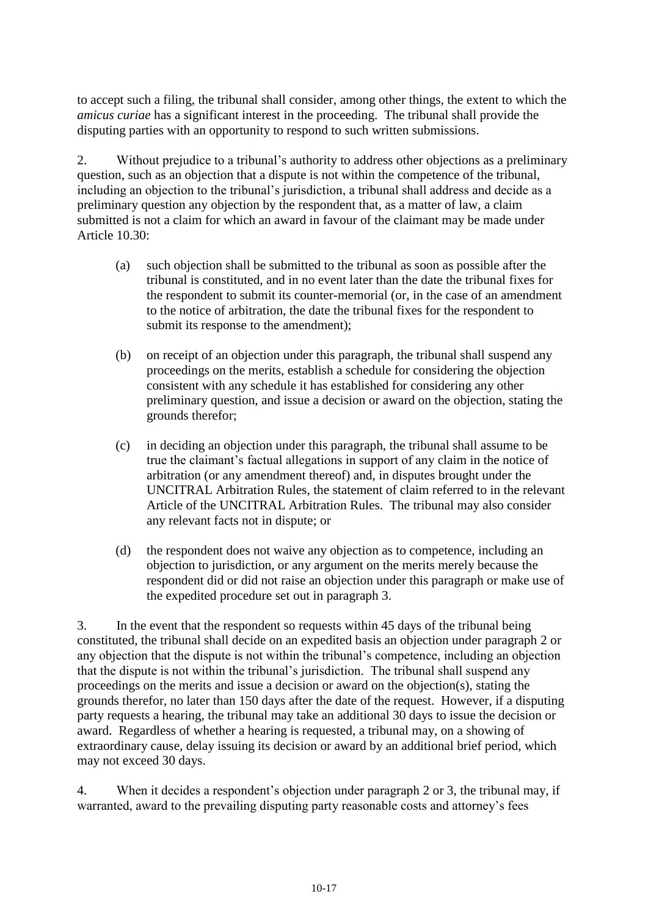to accept such a filing, the tribunal shall consider, among other things, the extent to which the *amicus curiae* has a significant interest in the proceeding. The tribunal shall provide the disputing parties with an opportunity to respond to such written submissions.

2. Without prejudice to a tribunal's authority to address other objections as a preliminary question, such as an objection that a dispute is not within the competence of the tribunal, including an objection to the tribunal's jurisdiction, a tribunal shall address and decide as a preliminary question any objection by the respondent that, as a matter of law, a claim submitted is not a claim for which an award in favour of the claimant may be made under Article 10.30:

- (a) such objection shall be submitted to the tribunal as soon as possible after the tribunal is constituted, and in no event later than the date the tribunal fixes for the respondent to submit its counter-memorial (or, in the case of an amendment to the notice of arbitration, the date the tribunal fixes for the respondent to submit its response to the amendment);
- (b) on receipt of an objection under this paragraph, the tribunal shall suspend any proceedings on the merits, establish a schedule for considering the objection consistent with any schedule it has established for considering any other preliminary question, and issue a decision or award on the objection, stating the grounds therefor;
- (c) in deciding an objection under this paragraph, the tribunal shall assume to be true the claimant's factual allegations in support of any claim in the notice of arbitration (or any amendment thereof) and, in disputes brought under the UNCITRAL Arbitration Rules, the statement of claim referred to in the relevant Article of the UNCITRAL Arbitration Rules. The tribunal may also consider any relevant facts not in dispute; or
- (d) the respondent does not waive any objection as to competence, including an objection to jurisdiction, or any argument on the merits merely because the respondent did or did not raise an objection under this paragraph or make use of the expedited procedure set out in paragraph 3.

3. In the event that the respondent so requests within 45 days of the tribunal being constituted, the tribunal shall decide on an expedited basis an objection under paragraph 2 or any objection that the dispute is not within the tribunal's competence, including an objection that the dispute is not within the tribunal's jurisdiction. The tribunal shall suspend any proceedings on the merits and issue a decision or award on the objection(s), stating the grounds therefor, no later than 150 days after the date of the request. However, if a disputing party requests a hearing, the tribunal may take an additional 30 days to issue the decision or award. Regardless of whether a hearing is requested, a tribunal may, on a showing of extraordinary cause, delay issuing its decision or award by an additional brief period, which may not exceed 30 days.

4. When it decides a respondent's objection under paragraph 2 or 3, the tribunal may, if warranted, award to the prevailing disputing party reasonable costs and attorney's fees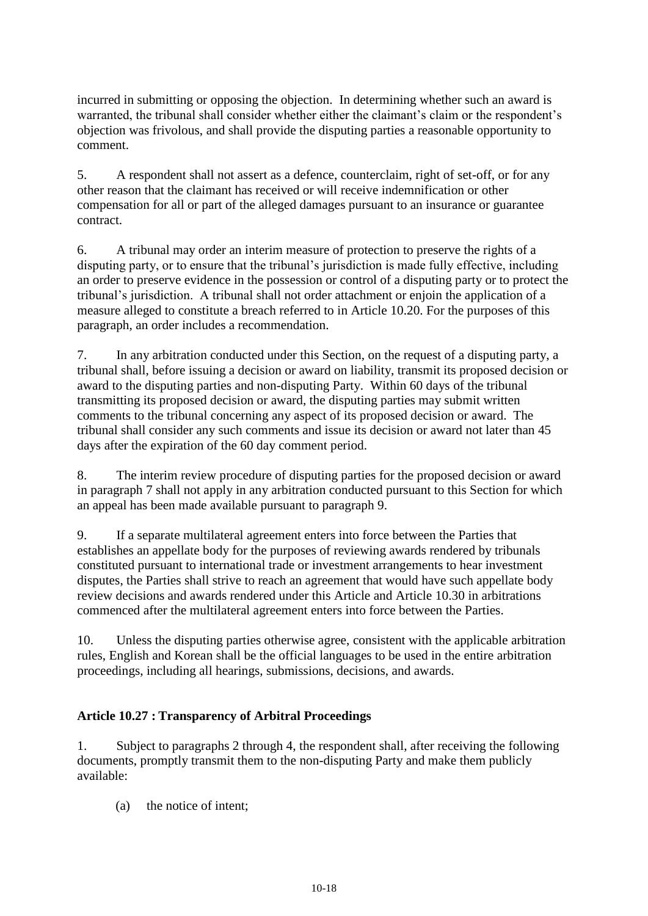incurred in submitting or opposing the objection. In determining whether such an award is warranted, the tribunal shall consider whether either the claimant's claim or the respondent's objection was frivolous, and shall provide the disputing parties a reasonable opportunity to comment.

5. A respondent shall not assert as a defence, counterclaim, right of set-off, or for any other reason that the claimant has received or will receive indemnification or other compensation for all or part of the alleged damages pursuant to an insurance or guarantee contract.

6. A tribunal may order an interim measure of protection to preserve the rights of a disputing party, or to ensure that the tribunal's jurisdiction is made fully effective, including an order to preserve evidence in the possession or control of a disputing party or to protect the tribunal's jurisdiction. A tribunal shall not order attachment or enjoin the application of a measure alleged to constitute a breach referred to in Article 10.20. For the purposes of this paragraph, an order includes a recommendation.

7. In any arbitration conducted under this Section, on the request of a disputing party, a tribunal shall, before issuing a decision or award on liability, transmit its proposed decision or award to the disputing parties and non-disputing Party. Within 60 days of the tribunal transmitting its proposed decision or award, the disputing parties may submit written comments to the tribunal concerning any aspect of its proposed decision or award. The tribunal shall consider any such comments and issue its decision or award not later than 45 days after the expiration of the 60 day comment period.

8. The interim review procedure of disputing parties for the proposed decision or award in paragraph 7 shall not apply in any arbitration conducted pursuant to this Section for which an appeal has been made available pursuant to paragraph 9.

9. If a separate multilateral agreement enters into force between the Parties that establishes an appellate body for the purposes of reviewing awards rendered by tribunals constituted pursuant to international trade or investment arrangements to hear investment disputes, the Parties shall strive to reach an agreement that would have such appellate body review decisions and awards rendered under this Article and Article 10.30 in arbitrations commenced after the multilateral agreement enters into force between the Parties.

10. Unless the disputing parties otherwise agree, consistent with the applicable arbitration rules, English and Korean shall be the official languages to be used in the entire arbitration proceedings, including all hearings, submissions, decisions, and awards.

# **Article 10.27 : Transparency of Arbitral Proceedings**

1. Subject to paragraphs 2 through 4, the respondent shall, after receiving the following documents, promptly transmit them to the non-disputing Party and make them publicly available:

(a) the notice of intent;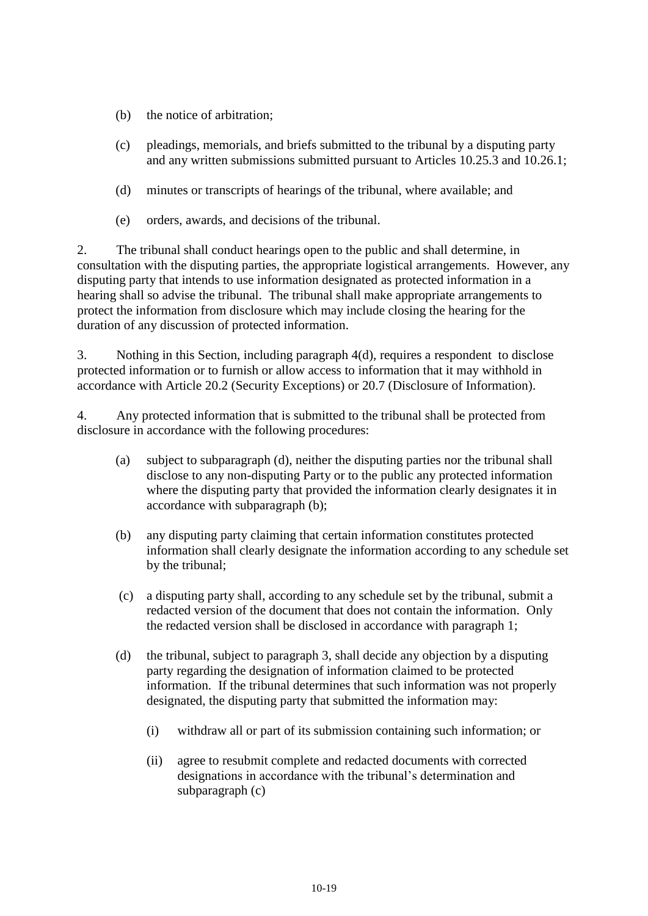- (b) the notice of arbitration;
- (c) pleadings, memorials, and briefs submitted to the tribunal by a disputing party and any written submissions submitted pursuant to Articles 10.25.3 and 10.26.1;
- (d) minutes or transcripts of hearings of the tribunal, where available; and
- (e) orders, awards, and decisions of the tribunal.

2. The tribunal shall conduct hearings open to the public and shall determine, in consultation with the disputing parties, the appropriate logistical arrangements. However, any disputing party that intends to use information designated as protected information in a hearing shall so advise the tribunal. The tribunal shall make appropriate arrangements to protect the information from disclosure which may include closing the hearing for the duration of any discussion of protected information.

3. Nothing in this Section, including paragraph 4(d), requires a respondent to disclose protected information or to furnish or allow access to information that it may withhold in accordance with Article 20.2 (Security Exceptions) or 20.7 (Disclosure of Information).

4. Any protected information that is submitted to the tribunal shall be protected from disclosure in accordance with the following procedures:

- (a) subject to subparagraph (d), neither the disputing parties nor the tribunal shall disclose to any non-disputing Party or to the public any protected information where the disputing party that provided the information clearly designates it in accordance with subparagraph (b);
- (b) any disputing party claiming that certain information constitutes protected information shall clearly designate the information according to any schedule set by the tribunal;
- (c) a disputing party shall, according to any schedule set by the tribunal, submit a redacted version of the document that does not contain the information. Only the redacted version shall be disclosed in accordance with paragraph 1;
- (d) the tribunal, subject to paragraph 3, shall decide any objection by a disputing party regarding the designation of information claimed to be protected information. If the tribunal determines that such information was not properly designated, the disputing party that submitted the information may:
	- (i) withdraw all or part of its submission containing such information; or
	- (ii) agree to resubmit complete and redacted documents with corrected designations in accordance with the tribunal's determination and subparagraph (c)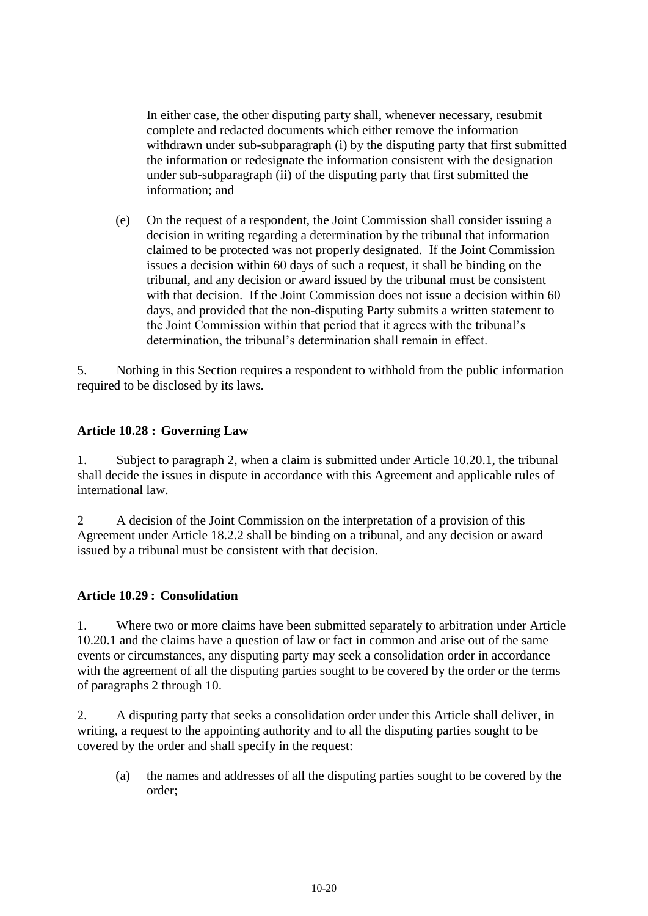In either case, the other disputing party shall, whenever necessary, resubmit complete and redacted documents which either remove the information withdrawn under sub-subparagraph (i) by the disputing party that first submitted the information or redesignate the information consistent with the designation under sub-subparagraph (ii) of the disputing party that first submitted the information; and

(e) On the request of a respondent, the Joint Commission shall consider issuing a decision in writing regarding a determination by the tribunal that information claimed to be protected was not properly designated. If the Joint Commission issues a decision within 60 days of such a request, it shall be binding on the tribunal, and any decision or award issued by the tribunal must be consistent with that decision. If the Joint Commission does not issue a decision within 60 days, and provided that the non-disputing Party submits a written statement to the Joint Commission within that period that it agrees with the tribunal's determination, the tribunal's determination shall remain in effect.

5. Nothing in this Section requires a respondent to withhold from the public information required to be disclosed by its laws.

# **Article 10.28 : Governing Law**

1. Subject to paragraph 2, when a claim is submitted under Article 10.20.1, the tribunal shall decide the issues in dispute in accordance with this Agreement and applicable rules of international law.

2 A decision of the Joint Commission on the interpretation of a provision of this Agreement under Article 18.2.2 shall be binding on a tribunal, and any decision or award issued by a tribunal must be consistent with that decision.

## **Article 10.29 : Consolidation**

1. Where two or more claims have been submitted separately to arbitration under Article 10.20.1 and the claims have a question of law or fact in common and arise out of the same events or circumstances, any disputing party may seek a consolidation order in accordance with the agreement of all the disputing parties sought to be covered by the order or the terms of paragraphs 2 through 10.

2. A disputing party that seeks a consolidation order under this Article shall deliver, in writing, a request to the appointing authority and to all the disputing parties sought to be covered by the order and shall specify in the request:

(a) the names and addresses of all the disputing parties sought to be covered by the order;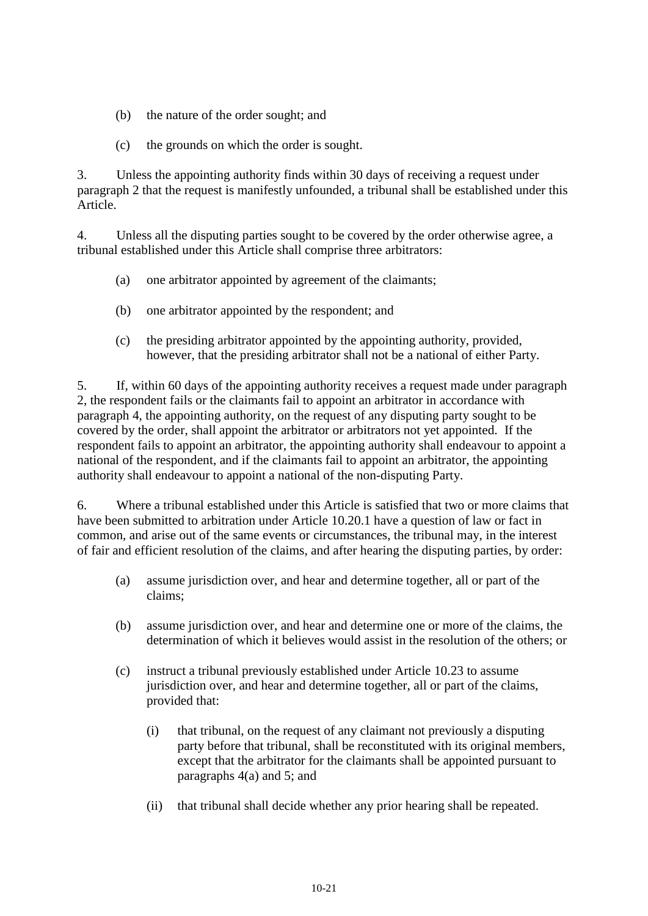- (b) the nature of the order sought; and
- (c) the grounds on which the order is sought.

3. Unless the appointing authority finds within 30 days of receiving a request under paragraph 2 that the request is manifestly unfounded, a tribunal shall be established under this Article.

4. Unless all the disputing parties sought to be covered by the order otherwise agree, a tribunal established under this Article shall comprise three arbitrators:

- (a) one arbitrator appointed by agreement of the claimants;
- (b) one arbitrator appointed by the respondent; and
- (c) the presiding arbitrator appointed by the appointing authority, provided, however, that the presiding arbitrator shall not be a national of either Party.

5. If, within 60 days of the appointing authority receives a request made under paragraph 2, the respondent fails or the claimants fail to appoint an arbitrator in accordance with paragraph 4, the appointing authority, on the request of any disputing party sought to be covered by the order, shall appoint the arbitrator or arbitrators not yet appointed. If the respondent fails to appoint an arbitrator, the appointing authority shall endeavour to appoint a national of the respondent, and if the claimants fail to appoint an arbitrator, the appointing authority shall endeavour to appoint a national of the non-disputing Party.

6. Where a tribunal established under this Article is satisfied that two or more claims that have been submitted to arbitration under Article 10.20.1 have a question of law or fact in common, and arise out of the same events or circumstances, the tribunal may, in the interest of fair and efficient resolution of the claims, and after hearing the disputing parties, by order:

- (a) assume jurisdiction over, and hear and determine together, all or part of the claims;
- (b) assume jurisdiction over, and hear and determine one or more of the claims, the determination of which it believes would assist in the resolution of the others; or
- (c) instruct a tribunal previously established under Article 10.23 to assume jurisdiction over, and hear and determine together, all or part of the claims, provided that:
	- (i) that tribunal, on the request of any claimant not previously a disputing party before that tribunal, shall be reconstituted with its original members, except that the arbitrator for the claimants shall be appointed pursuant to paragraphs 4(a) and 5; and
	- (ii) that tribunal shall decide whether any prior hearing shall be repeated.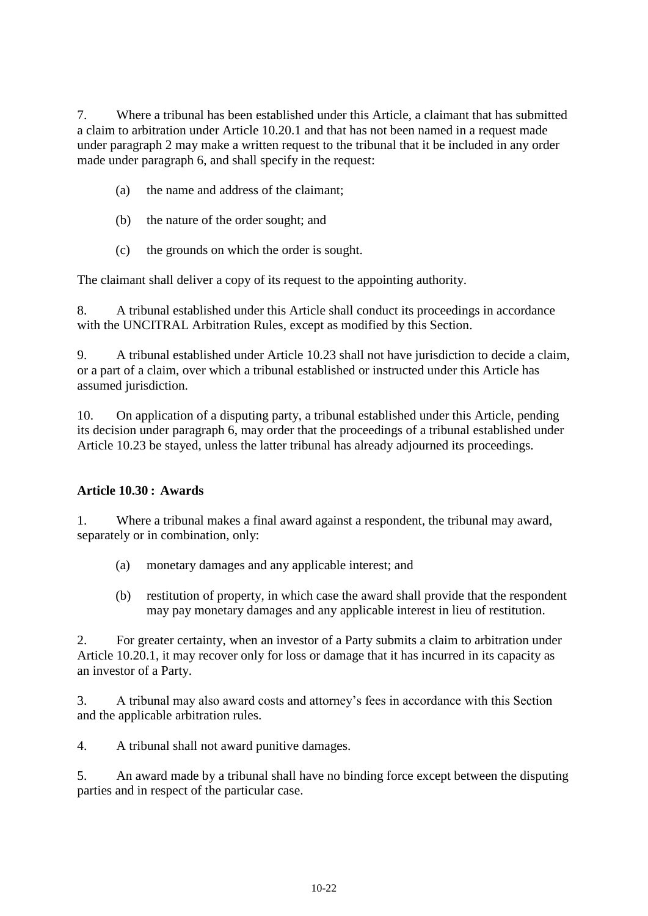7. Where a tribunal has been established under this Article, a claimant that has submitted a claim to arbitration under Article 10.20.1 and that has not been named in a request made under paragraph 2 may make a written request to the tribunal that it be included in any order made under paragraph 6, and shall specify in the request:

- (a) the name and address of the claimant;
- (b) the nature of the order sought; and
- (c) the grounds on which the order is sought.

The claimant shall deliver a copy of its request to the appointing authority.

8. A tribunal established under this Article shall conduct its proceedings in accordance with the UNCITRAL Arbitration Rules, except as modified by this Section.

9. A tribunal established under Article 10.23 shall not have jurisdiction to decide a claim, or a part of a claim, over which a tribunal established or instructed under this Article has assumed jurisdiction.

10. On application of a disputing party, a tribunal established under this Article, pending its decision under paragraph 6, may order that the proceedings of a tribunal established under Article 10.23 be stayed, unless the latter tribunal has already adjourned its proceedings.

## **Article 10.30 : Awards**

1. Where a tribunal makes a final award against a respondent, the tribunal may award, separately or in combination, only:

- (a) monetary damages and any applicable interest; and
- (b) restitution of property, in which case the award shall provide that the respondent may pay monetary damages and any applicable interest in lieu of restitution.

2. For greater certainty, when an investor of a Party submits a claim to arbitration under Article 10.20.1, it may recover only for loss or damage that it has incurred in its capacity as an investor of a Party.

3. A tribunal may also award costs and attorney's fees in accordance with this Section and the applicable arbitration rules.

4. A tribunal shall not award punitive damages.

5. An award made by a tribunal shall have no binding force except between the disputing parties and in respect of the particular case.